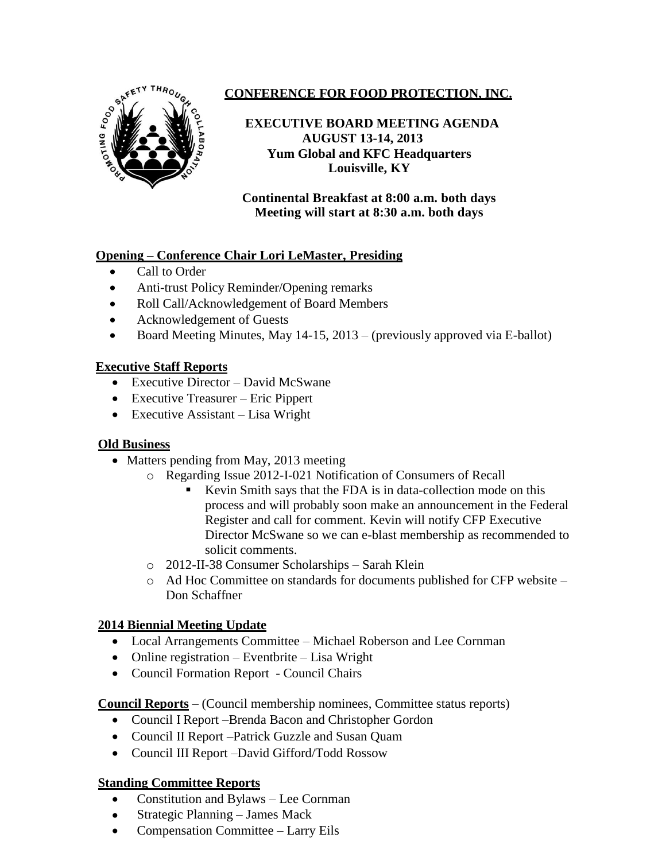

# **CONFERENCE FOR FOOD PROTECTION, INC.**

### **EXECUTIVE BOARD MEETING AGENDA** **AUGUST 13-14, 2013 Yum Global and KFC Headquarters Louisville, KY**

**Continental Breakfast at 8:00 a.m. both days Meeting will start at 8:30 a.m. both days**

### **Opening – Conference Chair Lori LeMaster, Presiding**

- Call to Order
- Anti-trust Policy Reminder/Opening remarks
- Roll Call/Acknowledgement of Board Members
- Acknowledgement of Guests
- Board Meeting Minutes, May  $14-15$ ,  $2013 -$  (previously approved via E-ballot)

# **Executive Staff Reports**

- Executive Director David McSwane
- Executive Treasurer Eric Pippert
- Executive Assistant Lisa Wright

### **Old Business**

- Matters pending from May, 2013 meeting
	- o Regarding Issue 2012-I-021 Notification of Consumers of Recall
		- Kevin Smith says that the FDA is in data-collection mode on this process and will probably soon make an announcement in the Federal Register and call for comment. Kevin will notify CFP Executive Director McSwane so we can e-blast membership as recommended to solicit comments.
	- o 2012-II-38 Consumer Scholarships Sarah Klein
	- o Ad Hoc Committee on standards for documents published for CFP website Don Schaffner

# **2014 Biennial Meeting Update**

- Local Arrangements Committee Michael Roberson and Lee Cornman
- Online registration Eventbrite Lisa Wright
- Council Formation Report Council Chairs

**Council Reports** – (Council membership nominees, Committee status reports)

- Council I Report –Brenda Bacon and Christopher Gordon
- Council II Report Patrick Guzzle and Susan Quam
- Council III Report –David Gifford/Todd Rossow

# **Standing Committee Reports**

- Constitution and Bylaws Lee Cornman
- Strategic Planning James Mack
- Compensation Committee Larry Eils